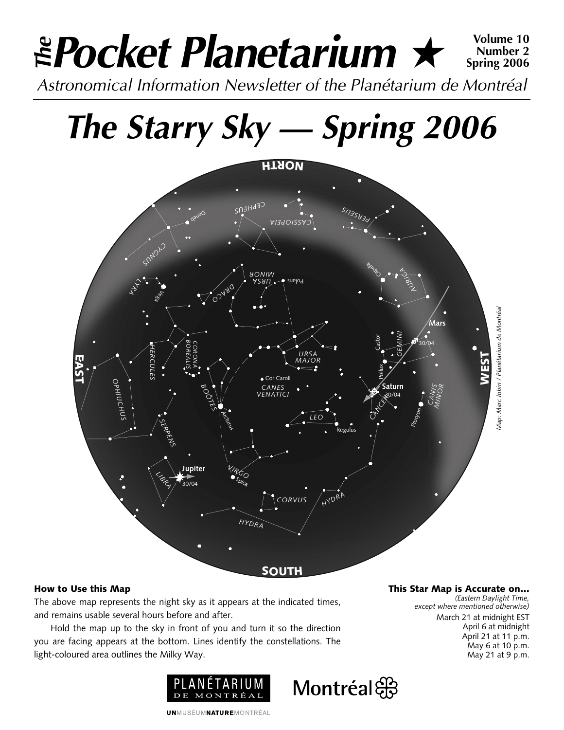### *Pocket Planetarium* ★ **Volume 10** *Astronomical Information Newsletter of the Planétarium de Montréal The* **Number 2 Spring 2006**

# *The Starry Sky — Spring 2006*



Montréal

#### **How to Use this Map**

The above map represents the night sky as it appears at the indicated times, and remains usable several hours before and after.

Hold the map up to the sky in front of you and turn it so the direction you are facing appears at the bottom. Lines identify the constellations. The light-coloured area outlines the Milky Way.



**This Star Map is Accurate on…**

*(Eastern Daylight Time, except where mentioned otherwise)* March 21 at midnight EST April 6 at midnight April 21 at 11 p.m. May 6 at 10 p.m. May 21 at 9 p.m.

**UNMUSÉUMNATUREMONTRÉAL**